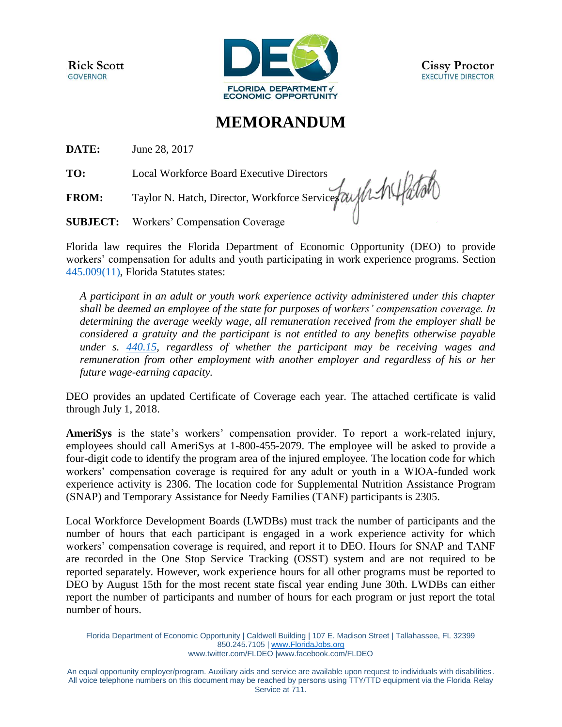**Rick Scott GOVERNOR** 



## **MEMORANDUM**

**DATE:** June 28, 2017

**TO:** Local Workforce Board Executive Directors

**FROM:** Taylor N. Hatch, Director, Workforce Services

**SUBJECT:** Workers' Compensation Coverage

Florida law requires the Florida Department of Economic Opportunity (DEO) to provide workers' compensation for adults and youth participating in work experience programs. Section [445.009\(11\),](http://www.leg.state.fl.us/statutes/index.cfm?App_mode=Display_Statute&Search_String=&URL=0400-0499/0445/Sections/0445.009.html) Florida Statutes states:

*A participant in an adult or youth work experience activity administered under this chapter shall be deemed an employee of the state for purposes of workers' compensation coverage. In determining the average weekly wage, all remuneration received from the employer shall be considered a gratuity and the participant is not entitled to any benefits otherwise payable under s. [440.15,](http://www.leg.state.fl.us/statutes/index.cfm?App_mode=Display_Statute&Search_String=&URL=0400-0499/0440/Sections/0440.15.html) regardless of whether the participant may be receiving wages and remuneration from other employment with another employer and regardless of his or her future wage-earning capacity.* 

DEO provides an updated Certificate of Coverage each year. The attached certificate is valid through July 1, 2018.

**AmeriSys** is the state's workers' compensation provider. To report a work-related injury, employees should call AmeriSys at 1-800-455-2079. The employee will be asked to provide a four-digit code to identify the program area of the injured employee. The location code for which workers' compensation coverage is required for any adult or youth in a WIOA-funded work experience activity is 2306. The location code for Supplemental Nutrition Assistance Program (SNAP) and Temporary Assistance for Needy Families (TANF) participants is 2305.

Local Workforce Development Boards (LWDBs) must track the number of participants and the number of hours that each participant is engaged in a work experience activity for which workers' compensation coverage is required, and report it to DEO. Hours for SNAP and TANF are recorded in the One Stop Service Tracking (OSST) system and are not required to be reported separately. However, work experience hours for all other programs must be reported to DEO by August 15th for the most recent state fiscal year ending June 30th. LWDBs can either report the number of participants and number of hours for each program or just report the total number of hours.

Florida Department of Economic Opportunity | Caldwell Building | 107 E. Madison Street | Tallahassee, FL 32399 850.245.7105 | [www.FloridaJobs.org](http://www.floridajobs.org/) [www.twitter.com/FLDEO](http://www.twitter.com/FLDEO) |www.facebook.com/FLDEO

An equal opportunity employer/program. Auxiliary aids and service are available upon request to individuals with disabilities. All voice telephone numbers on this document may be reached by persons using TTY/TTD equipment via the Florida Relay Service at 711.